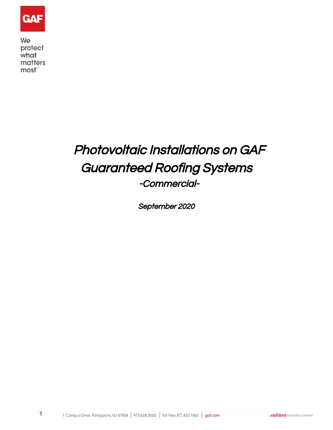

We protect what matters most"

# Photovoltaic Installations on GAF Guaranteed Roofing Systems -Commercial-

September 2020

**1**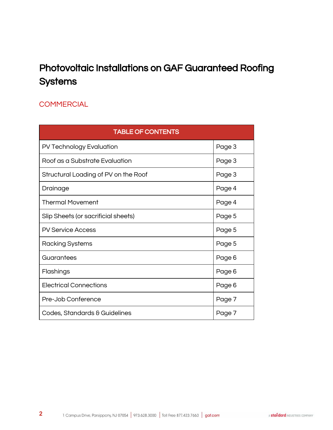# Photovoltaic Installations on GAF Guaranteed Roofing **Systems**

## **COMMERCIAL**

| <b>TABLE OF CONTENTS</b>             |        |  |  |  |
|--------------------------------------|--------|--|--|--|
| PV Technology Evaluation             | Page 3 |  |  |  |
| Roof as a Substrate Evaluation       | Page 3 |  |  |  |
| Structural Loading of PV on the Roof | Page 3 |  |  |  |
| Drainage                             | Page 4 |  |  |  |
| <b>Thermal Movement</b>              | Page 4 |  |  |  |
| Slip Sheets (or sacrificial sheets)  | Page 5 |  |  |  |
| <b>PV Service Access</b>             | Page 5 |  |  |  |
| Racking Systems                      | Page 5 |  |  |  |
| Guarantees                           | Page 6 |  |  |  |
| Flashings                            | Page 6 |  |  |  |
| <b>Electrical Connections</b>        | Page 6 |  |  |  |
| Pre-Job Conference                   | Page 7 |  |  |  |
| Codes, Standards & Guidelines        | Page 7 |  |  |  |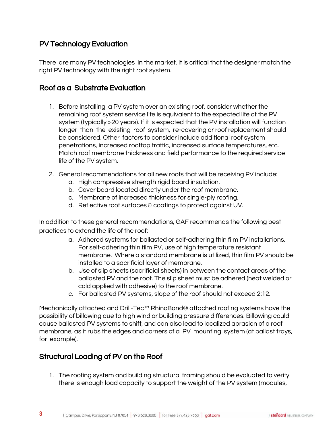### PV Technology Evaluation

There are many PV technologies in the market. It is critical that the designer match the right PV technology with the right roof system.

#### Roof as a Substrate Evaluation

- 1. Before installing a PV system over an existing roof, consider whether the remaining roof system service life is equivalent to the expected life of the PV system (typically >20 years). If it is expected that the PV installation will function longer than the existing roof system, re-covering or roof replacement should be considered. Other factors to consider include additional roof system penetrations, increased rooftop traffic, increased surface temperatures, etc. Match roof membrane thickness and field performance to the required service life of the PV system.
- 2. General recommendations for all new roofs that will be receiving PV include:
	- a. High compressive strength rigid board insulation.
	- b. Cover board located directly under the roof membrane.
	- c. Membrane of increased thickness for single-ply roofing.
	- d. Reflective roof surfaces & coatings to protect against UV.

In addition to these general recommendations, GAF recommends the following best practices to extend the life of the roof:

- a. Adhered systems for ballasted or self-adhering thin film PV installations. For self-adhering thin film PV, use of high temperature resistant membrane. Where a standard membrane is utilized, thin film PV should be installed to a sacrificial layer of membrane.
- b. Use of slip sheets (sacrificial sheets) in between the contact areas of the ballasted PV and the roof. The slip sheet must be adhered (heat welded or cold applied with adhesive) to the roof membrane.
- c. For ballasted PV systems, slope of the roof should not exceed 2:12.

Mechanically attached and Drill-Tec™ RhinoBond® attached roofing systems have the possibility of billowing due to high wind or building pressure differences. Billowing could cause ballasted PV systems to shift, and can also lead to localized abrasion of a roof membrane, as it rubs the edges and corners of a PV mounting system (at ballast trays, for example).

#### Structural Loading of PV on the Roof

**3**

1. The roofing system and building structural framing should be evaluated to verify there is enough load capacity to support the weight of the PV system (modules,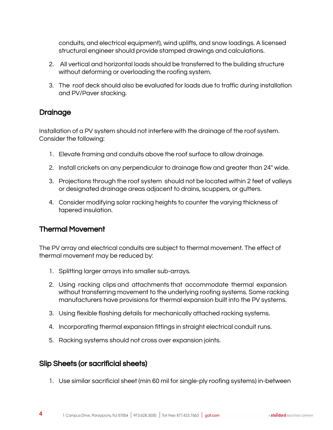conduits, and electrical equipment), wind uplifts, and snow loadings. A licensed structural engineer should provide stamped drawings and calculations.

- 2. All vertical and horizontal loads should be transferred to the building structure without deforming or overloading the roofing system.
- 3. The roof deck should also be evaluated for loads due to traffic during installation and PV/Paver stacking.

#### Drainage

Installation of a PV system should not interfere with the drainage of the roof system. Consider the following:

- 1. Elevate framing and conduits above the roof surface to allow drainage.
- 2. Install crickets on any perpendicular to drainage flow and greater than 24" wide.
- 3. Projections through the roof system should not be located within 2 feet of valleys or designated drainage areas adjacent to drains, scuppers, or gutters.
- 4. Consider modifying solar racking heights to counter the varying thickness of tapered insulation.

#### Thermal Movement

The PV array and electrical conduits are subject to thermal movement. The effect of thermal movement may be reduced by:

- 1. Splitting larger arrays into smaller sub-arrays.
- 2. Using racking clips and attachments that accommodate thermal expansion without transferring movement to the underlying roofing systems. Some racking manufacturers have provisions for thermal expansion built into the PV systems.
- 3. Using flexible flashing details for mechanically attached racking systems.
- 4. Incorporating thermal expansion fittings in straight electrical conduit runs.
- 5. Racking systems should not cross over expansion joints.

#### Slip Sheets (or sacrificial sheets)

**4**

1. Use similar sacrificial sheet (min 60 mil for single-ply roofing systems) in-between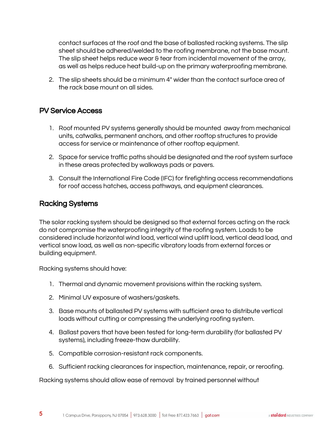contact surfaces at the roof and the base of ballasted racking systems. The slip sheet should be adhered/welded to the roofing membrane, not the base mount. The slip sheet helps reduce wear & tear from incidental movement of the array, as well as helps reduce heat build-up on the primary waterproofing membrane.

2. The slip sheets should be a minimum 4" wider than the contact surface area of the rack base mount on all sides.

#### PV Service Access

- 1. Roof mounted PV systems generally should be mounted away from mechanical units, catwalks, permanent anchors, and other rooftop structures to provide access for service or maintenance of other rooftop equipment.
- 2. Space for service traffic paths should be designated and the roof system surface in these areas protected by walkways pads or pavers.
- 3. Consult the International Fire Code (IFC) for firefighting access recommendations for roof access hatches, access pathways, and equipment clearances.

#### Racking Systems

**5**

The solar racking system should be designed so that external forces acting on the rack do not compromise the waterproofing integrity of the roofing system. Loads to be considered include horizontal wind load, vertical wind uplift load, vertical dead load, and vertical snow load, as well as non-specific vibratory loads from external forces or building equipment.

Racking systems should have:

- 1. Thermal and dynamic movement provisions within the racking system.
- 2. Minimal UV exposure of washers/gaskets.
- 3. Base mounts of ballasted PV systems with sufficient area to distribute vertical loads without cutting or compressing the underlying roofing system.
- 4. Ballast pavers that have been tested for long-term durability (for ballasted PV systems), including freeze-thaw durability.
- 5. Compatible corrosion-resistant rack components.
- 6. Sufficient racking clearances for inspection, maintenance, repair, or reroofing.

Racking systems should allow ease of removal by trained personnel without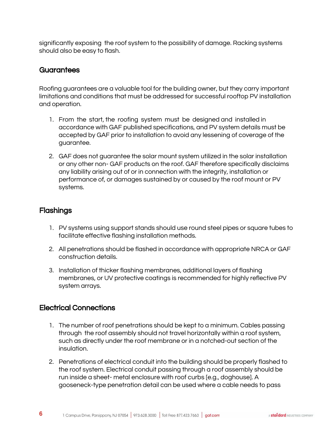significantly exposing the roof system to the possibility of damage. Racking systems should also be easy to flash.

#### **Guarantees**

Roofing guarantees are a valuable tool for the building owner, but they carry important limitations and conditions that must be addressed for successful rooftop PV installation and operation.

- 1. From the start, the roofing system must be designed and installed in accordance with GAF published specifications, and PV system details must be accepted by GAF prior to installation to avoid any lessening of coverage of the guarantee.
- 2. GAF does not guarantee the solar mount system utilized in the solar installation or any other non- GAF products on the roof. GAF therefore specifically disclaims any liability arising out of or in connection with the integrity, installation or performance of, or damages sustained by or caused by the roof mount or PV systems.

#### **Flashings**

**6**

- 1. PV systems using support stands should use round steel pipes or square tubes to facilitate effective flashing installation methods.
- 2. All penetrations should be flashed in accordance with appropriate NRCA or GAF construction details.
- 3. Installation of thicker flashing membranes, additional layers of flashing membranes, or UV protective coatings is recommended for highly reflective PV system arrays.

#### Electrical Connections

- 1. The number of roof penetrations should be kept to a minimum. Cables passing through the roof assembly should not travel horizontally within a roof system, such as directly under the roof membrane or in a notched-out section of the insulation.
- 2. Penetrations of electrical conduit into the building should be properly flashed to the roof system. Electrical conduit passing through a roof assembly should be run inside a sheet- metal enclosure with roof curbs [e.g., doghouse]. A gooseneck-type penetration detail can be used where a cable needs to pass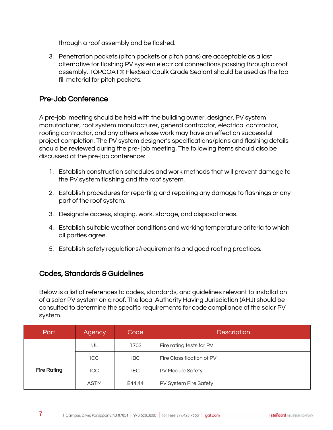through a roof assembly and be flashed.

3. Penetration pockets (pitch pockets or pitch pans) are acceptable as a last alternative for flashing PV system electrical connections passing through a roof assembly. TOPCOAT® FlexSeal Caulk Grade Sealant should be used as the top fill material for pitch pockets.

#### Pre-Job Conference

A pre-job meeting should be held with the building owner, designer, PV system manufacturer, roof system manufacturer, general contractor, electrical contractor, roofing contractor, and any others whose work may have an effect on successful project completion. The PV system designer's specifications/plans and flashing details should be reviewed during the pre- job meeting. The following items should also be discussed at the pre-job conference:

- 1. Establish construction schedules and work methods that will prevent damage to the PV system flashing and the roof system.
- 2. Establish procedures for reporting and repairing any damage to flashings or any part of the roof system.
- 3. Designate access, staging, work, storage, and disposal areas.
- 4. Establish suitable weather conditions and working temperature criteria to which all parties agree.
- 5. Establish safety regulations/requirements and good roofing practices.

#### Codes, Standards & Guidelines

**7**

Below is a list of references to codes, standards, and guidelines relevant to installation of a solar PV system on a roof. The local Authority Having Jurisdiction (AHJ) should be consulted to determine the specific requirements for code compliance of the solar PV system.

| Part               | Agency      | Code       | <b>Description</b>        |
|--------------------|-------------|------------|---------------------------|
| <b>Fire Rating</b> | UL          | 1703       | Fire rating tests for PV  |
|                    | <b>ICC</b>  | <b>IBC</b> | Fire Classification of PV |
|                    | ICC         | IEC.       | PV Module Safety          |
|                    | <b>ASTM</b> | E44.44     | PV System Fire Safety     |